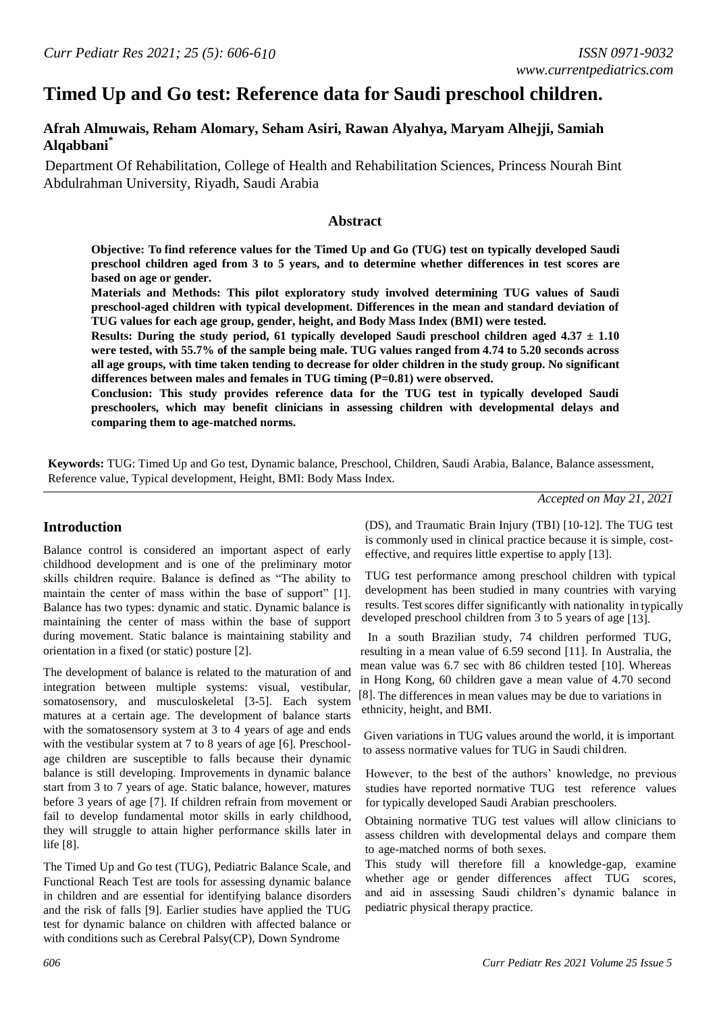# **Timed Up and Go test: Reference data for Saudi preschool children.**

# **Afrah Almuwais, Reham Alomary, Seham Asiri, Rawan Alyahya, Maryam Alhejji, Samiah Alqabbani\***

Department Of Rehabilitation, College of Health and Rehabilitation Sciences, Princess Nourah Bint Abdulrahman University, Riyadh, Saudi Arabia

#### **Abstract**

**Objective: To find reference values for the Timed Up and Go (TUG) test on typically developed Saudi preschool children aged from 3 to 5 years, and to determine whether differences in test scores are based on age or gender.**

**Materials and Methods: This pilot exploratory study involved determining TUG values of Saudi preschool-aged children with typical development. Differences in the mean and standard deviation of TUG values for each age group, gender, height, and Body Mass Index (BMI) were tested.**

**Results: During the study period, 61 typically developed Saudi preschool children aged 4.37 ± 1.10 were tested, with 55.7% of the sample being male. TUG values ranged from 4.74 to 5.20 seconds across all age groups, with time taken tending to decrease for older children in the study group. No significant differences between males and females in TUG timing (P=0.81) were observed.**

**Conclusion: This study provides reference data for the TUG test in typically developed Saudi preschoolers, which may benefit clinicians in assessing children with developmental delays and comparing them to age-matched norms.**

**Keywords:** TUG: Timed Up and Go test, Dynamic balance, Preschool, Children, Saudi Arabia, Balance, Balance assessment, Reference value, Typical development, Height, BMI: Body Mass Index.

*Accepted on May 21, 2021*

## **Introduction**

Balance control is considered an important aspect of early childhood development and is one of the preliminary motor skills children require. Balance is defined as "The ability to maintain the center of mass within the base of support" [1]. Balance has two types: dynamic and static. Dynamic balance is maintaining the center of mass within the base of support during movement. Static balance is maintaining stability and orientation in a fixed (or static) posture [2].

The development of balance is related to the maturation of and integration between multiple systems: visual, vestibular, somatosensory, and musculoskeletal [3-5]. Each system matures at a certain age. The development of balance starts with the somatosensory system at 3 to 4 years of age and ends with the vestibular system at 7 to 8 years of age [6]. Preschoolage children are susceptible to falls because their dynamic balance is still developing. Improvements in dynamic balance start from 3 to 7 years of age. Static balance, however, matures before 3 years of age [7]. If children refrain from movement or fail to develop fundamental motor skills in early childhood, they will struggle to attain higher performance skills later in life [8].

The Timed Up and Go test (TUG), Pediatric Balance Scale, and Functional Reach Test are tools for assessing dynamic balance in children and are essential for identifying balance disorders and the risk of falls [9]. Earlier studies have applied the TUG test for dynamic balance on children with affected balance or with conditions such as Cerebral Palsy(CP), Down Syndrome

(DS), and Traumatic Brain Injury (TBI) [10-12]. The TUG test is commonly used in clinical practice because it is simple, costeffective, and requires little expertise to apply [13].

TUG test performance among preschool children with typical development has been studied in many countries with varying results. Test scores differ significantly with nationality in typically developed preschool children from 3 to 5 years of age [13].

In a south Brazilian study, 74 children performed TUG, resulting in a mean value of 6.59 second [11]. In Australia, the mean value was 6.7 sec with 86 children tested [10]. Whereas in Hong Kong, 60 children gave a mean value of 4.70 second [8]. The differences in mean values may be due to variations in ethnicity, height, and BMI.

Given variations in TUG values around the world, it is important to assess normative values for TUG in Saudi children.

However, to the best of the authors' knowledge, no previous studies have reported normative TUG test reference values for typically developed Saudi Arabian preschoolers.

Obtaining normative TUG test values will allow clinicians to assess children with developmental delays and compare them to age-matched norms of both sexes.

This study will therefore fill a knowledge-gap, examine whether age or gender differences affect TUG scores, and aid in assessing Saudi children's dynamic balance in pediatric physical therapy practice.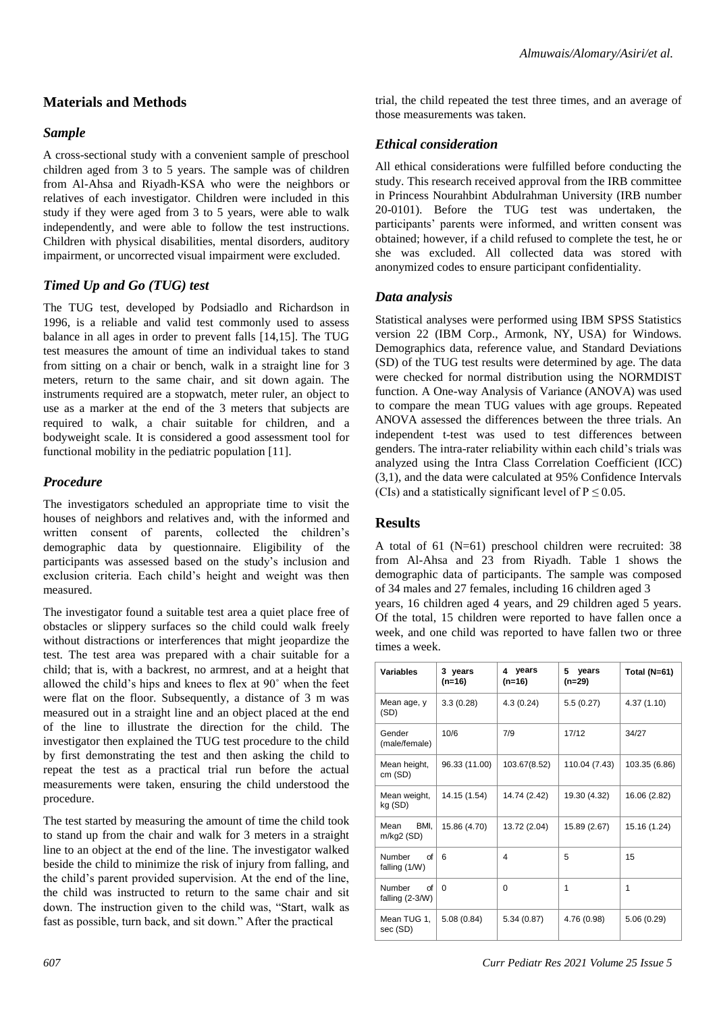# **Materials and Methods**

#### *Sample*

A cross-sectional study with a convenient sample of preschool children aged from 3 to 5 years. The sample was of children from Al-Ahsa and Riyadh-KSA who were the neighbors or relatives of each investigator. Children were included in this study if they were aged from 3 to 5 years, were able to walk independently, and were able to follow the test instructions. Children with physical disabilities, mental disorders, auditory impairment, or uncorrected visual impairment were excluded.

## *Timed Up and Go (TUG) test*

The TUG test, developed by Podsiadlo and Richardson in 1996, is a reliable and valid test commonly used to assess balance in all ages in order to prevent falls [14,15]. The TUG test measures the amount of time an individual takes to stand from sitting on a chair or bench, walk in a straight line for 3 meters, return to the same chair, and sit down again. The instruments required are a stopwatch, meter ruler, an object to use as a marker at the end of the 3 meters that subjects are required to walk, a chair suitable for children, and a bodyweight scale. It is considered a good assessment tool for functional mobility in the pediatric population [11].

#### *Procedure*

The investigators scheduled an appropriate time to visit the houses of neighbors and relatives and, with the informed and written consent of parents, collected the children's demographic data by questionnaire. Eligibility of the participants was assessed based on the study's inclusion and exclusion criteria. Each child's height and weight was then measured.

The investigator found a suitable test area a quiet place free of obstacles or slippery surfaces so the child could walk freely without distractions or interferences that might jeopardize the test. The test area was prepared with a chair suitable for a child; that is, with a backrest, no armrest, and at a height that allowed the child's hips and knees to flex at 90˚ when the feet were flat on the floor. Subsequently, a distance of 3 m was measured out in a straight line and an object placed at the end of the line to illustrate the direction for the child. The investigator then explained the TUG test procedure to the child by first demonstrating the test and then asking the child to repeat the test as a practical trial run before the actual measurements were taken, ensuring the child understood the procedure.

The test started by measuring the amount of time the child took to stand up from the chair and walk for 3 meters in a straight line to an object at the end of the line. The investigator walked beside the child to minimize the risk of injury from falling, and the child's parent provided supervision. At the end of the line, the child was instructed to return to the same chair and sit down. The instruction given to the child was, "Start, walk as fast as possible, turn back, and sit down." After the practical

trial, the child repeated the test three times, and an average of those measurements was taken.

## *Ethical consideration*

All ethical considerations were fulfilled before conducting the study. This research received approval from the IRB committee in Princess Nourahbint Abdulrahman University (IRB number 20-0101). Before the TUG test was undertaken, the participants' parents were informed, and written consent was obtained; however, if a child refused to complete the test, he or she was excluded. All collected data was stored with anonymized codes to ensure participant confidentiality.

## *Data analysis*

Statistical analyses were performed using IBM SPSS Statistics version 22 (IBM Corp., Armonk, NY, USA) for Windows. Demographics data, reference value, and Standard Deviations (SD) of the TUG test results were determined by age. The data were checked for normal distribution using the NORMDIST function. A One-way Analysis of Variance (ANOVA) was used to compare the mean TUG values with age groups. Repeated ANOVA assessed the differences between the three trials. An independent t-test was used to test differences between genders. The intra-rater reliability within each child's trials was analyzed using the Intra Class Correlation Coefficient (ICC) (3,1), and the data were calculated at 95% Confidence Intervals (CIs) and a statistically significant level of  $P \le 0.05$ .

#### **Results**

A total of 61 (N=61) preschool children were recruited: 38 from Al-Ahsa and 23 from Riyadh. Table 1 shows the demographic data of participants. The sample was composed of 34 males and 27 females, including 16 children aged 3

years, 16 children aged 4 years, and 29 children aged 5 years. Of the total, 15 children were reported to have fallen once a week, and one child was reported to have fallen two or three times a week.

| Variables                         | 3 years<br>$(n=16)$ | 4 years<br>(n=16) | years<br>5<br>(n=29) | Total ( $N=61$ ) |
|-----------------------------------|---------------------|-------------------|----------------------|------------------|
| Mean age, y<br>(SD)               | 3.3(0.28)           | 4.3(0.24)         | 5.5(0.27)            | 4.37 (1.10)      |
| Gender<br>(male/female)           | 10/6                | 7/9               | 17/12                | 34/27            |
| Mean height,<br>cm (SD)           | 96.33 (11.00)       | 103.67(8.52)      | 110.04 (7.43)        | 103.35 (6.86)    |
| Mean weight,<br>kg (SD)           | 14.15 (1.54)        | 14.74 (2.42)      | 19.30 (4.32)         | 16.06 (2.82)     |
| BMI,<br>Mean<br>$m/kg2$ (SD)      | 15.86 (4.70)        | 13.72 (2.04)      | 15.89 (2.67)         | 15.16 (1.24)     |
| Number<br>of<br>falling (1/W)     | 6                   | 4                 | 5                    | 15               |
| Number<br>of<br>falling $(2-3/W)$ | $\Omega$            | $\Omega$          | 1                    | 1                |
| Mean TUG 1,<br>sec (SD)           | 5.08(0.84)          | 5.34 (0.87)       | 4.76 (0.98)          | 5.06(0.29)       |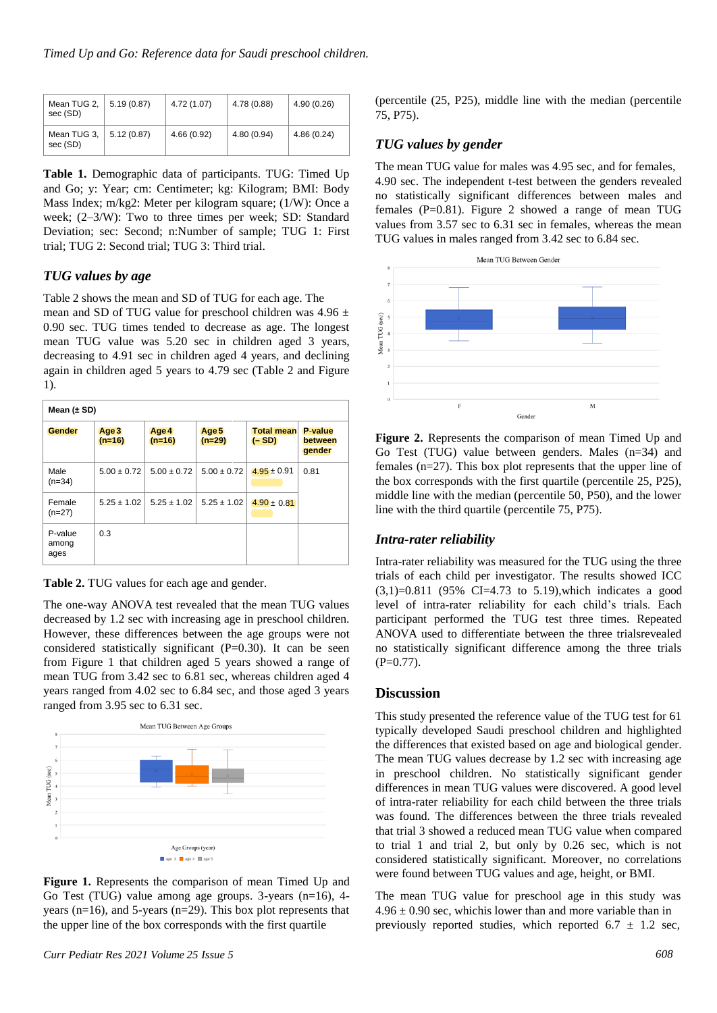| Mean TUG 2,<br>sec (SD) | 5.19(0.87) | 4.72 (1.07) | 4.78 (0.88) | 4.90(0.26) |
|-------------------------|------------|-------------|-------------|------------|
| Mean TUG 3,<br>sec (SD) | 5.12(0.87) | 4.66(0.92)  | 4.80(0.94)  | 4.86(0.24) |

**Table 1.** Demographic data of participants. TUG: Timed Up and Go; y: Year; cm: Centimeter; kg: Kilogram; BMI: Body Mass Index; m/kg2: Meter per kilogram square; (1/W): Once a week; (2–3/W): Two to three times per week; SD: Standard Deviation; sec: Second; n:Number of sample; TUG 1: First trial; TUG 2: Second trial; TUG 3: Third trial.

# *TUG values by age*

Table 2 shows the mean and SD of TUG for each age. The mean and SD of TUG value for preschool children was  $4.96 \pm$ 0.90 sec. TUG times tended to decrease as age. The longest mean TUG value was 5.20 sec in children aged 3 years, decreasing to 4.91 sec in children aged 4 years, and declining again in children aged 5 years to 4.79 sec (Table 2 and Figure 1).

| Mean $(\pm SD)$          |                   |                   |                   |                              |                              |  |  |  |
|--------------------------|-------------------|-------------------|-------------------|------------------------------|------------------------------|--|--|--|
| <b>Gender</b>            | Age 3<br>$(n=16)$ | Age 4<br>$(n=16)$ | Age 5<br>$(n=29)$ | <b>Total mean</b><br>$(-SD)$ | P-value<br>between<br>gender |  |  |  |
| Male<br>$(n=34)$         | $5.00 \pm 0.72$   | $5.00 \pm 0.72$   | $5.00 \pm 0.72$   | $4.95 \pm 0.91$              | 0.81                         |  |  |  |
| Female<br>$(n=27)$       | $5.25 \pm 1.02$   | $5.25 \pm 1.02$   | $5.25 \pm 1.02$   | $4.90 \pm 0.81$              |                              |  |  |  |
| P-value<br>among<br>ages | 0.3               |                   |                   |                              |                              |  |  |  |

**Table 2.** TUG values for each age and gender.

The one-way ANOVA test revealed that the mean TUG values decreased by 1.2 sec with increasing age in preschool children. However, these differences between the age groups were not considered statistically significant (P=0.30). It can be seen from Figure 1 that children aged 5 years showed a range of mean TUG from 3.42 sec to 6.81 sec, whereas children aged 4 years ranged from 4.02 sec to 6.84 sec, and those aged 3 years ranged from 3.95 sec to 6.31 sec.



**Figure 1.** Represents the comparison of mean Timed Up and Go Test (TUG) value among age groups. 3-years (n=16), 4 years (n=16), and 5-years (n=29). This box plot represents that the upper line of the box corresponds with the first quartile

(percentile (25, P25), middle line with the median (percentile 75, P75).

# *TUG values by gender*

The mean TUG value for males was 4.95 sec, and for females, 4.90 sec. The independent t-test between the genders revealed no statistically significant differences between males and females  $(P=0.81)$ . Figure 2 showed a range of mean TUG values from 3.57 sec to 6.31 sec in females, whereas the mean TUG values in males ranged from 3.42 sec to 6.84 sec.



**Figure 2.** Represents the comparison of mean Timed Up and Go Test (TUG) value between genders. Males (n=34) and females (n=27). This box plot represents that the upper line of the box corresponds with the first quartile (percentile 25, P25), middle line with the median (percentile 50, P50), and the lower line with the third quartile (percentile 75, P75).

## *Intra-rater reliability*

Intra-rater reliability was measured for the TUG using the three trials of each child per investigator. The results showed ICC  $(3,1)=0.811$  (95% CI=4.73 to 5.19), which indicates a good level of intra-rater reliability for each child's trials. Each participant performed the TUG test three times. Repeated ANOVA used to differentiate between the three trialsrevealed no statistically significant difference among the three trials  $(P=0.77)$ .

## **Discussion**

This study presented the reference value of the TUG test for 61 typically developed Saudi preschool children and highlighted the differences that existed based on age and biological gender. The mean TUG values decrease by 1.2 sec with increasing age in preschool children. No statistically significant gender differences in mean TUG values were discovered. A good level of intra-rater reliability for each child between the three trials was found. The differences between the three trials revealed that trial 3 showed a reduced mean TUG value when compared to trial 1 and trial 2, but only by 0.26 sec, which is not considered statistically significant. Moreover, no correlations were found between TUG values and age, height, or BMI.

The mean TUG value for preschool age in this study was  $4.96 \pm 0.90$  sec, which is lower than and more variable than in previously reported studies, which reported  $6.7 \pm 1.2$  sec,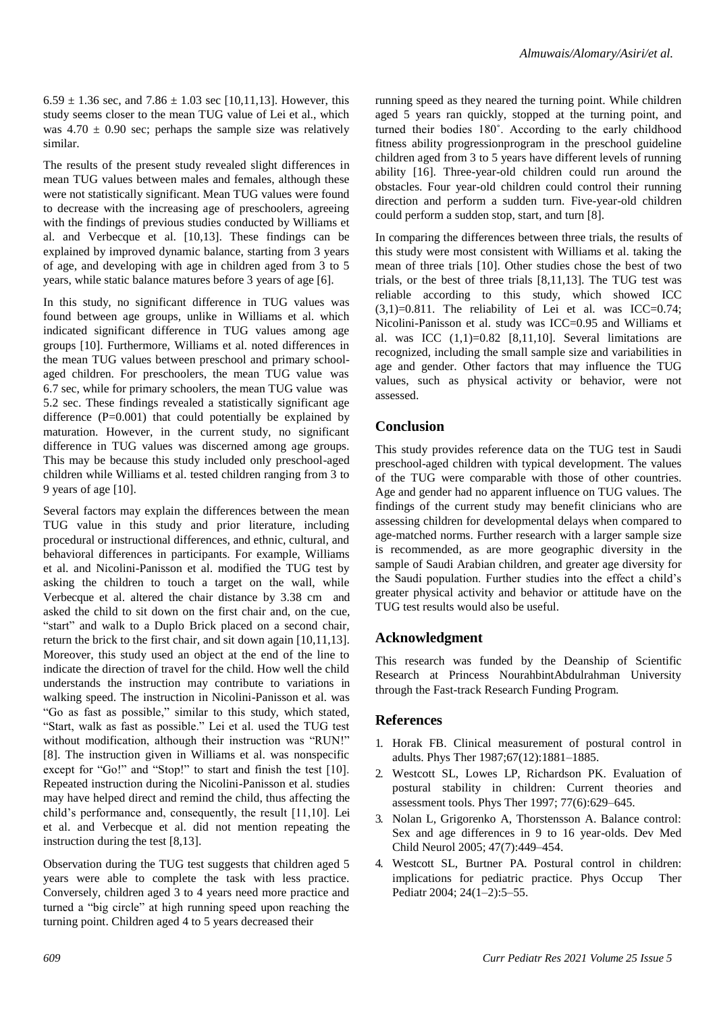$6.59 \pm 1.36$  sec, and  $7.86 \pm 1.03$  sec [10,11,13]. However, this study seems closer to the mean TUG value of Lei et al., which was  $4.70 \pm 0.90$  sec; perhaps the sample size was relatively similar.

The results of the present study revealed slight differences in mean TUG values between males and females, although these were not statistically significant. Mean TUG values were found to decrease with the increasing age of preschoolers, agreeing with the findings of previous studies conducted by Williams et al. and Verbecque et al. [10,13]. These findings can be explained by improved dynamic balance, starting from 3 years of age, and developing with age in children aged from 3 to 5 years, while static balance matures before 3 years of age [6].

In this study, no significant difference in TUG values was found between age groups, unlike in Williams et al. which indicated significant difference in TUG values among age groups [10]. Furthermore, Williams et al. noted differences in the mean TUG values between preschool and primary schoolaged children. For preschoolers, the mean TUG value was 6.7 sec, while for primary schoolers, the mean TUG value was 5.2 sec. These findings revealed a statistically significant age difference  $(P=0.001)$  that could potentially be explained by maturation. However, in the current study, no significant difference in TUG values was discerned among age groups. This may be because this study included only preschool-aged children while Williams et al. tested children ranging from 3 to 9 years of age [10].

Several factors may explain the differences between the mean TUG value in this study and prior literature, including procedural or instructional differences, and ethnic, cultural, and behavioral differences in participants. For example, Williams et al. and Nicolini-Panisson et al. modified the TUG test by asking the children to touch a target on the wall, while Verbecque et al. altered the chair distance by 3.38 cm and asked the child to sit down on the first chair and, on the cue, "start" and walk to a Duplo Brick placed on a second chair, return the brick to the first chair, and sit down again [10,11,13]. Moreover, this study used an object at the end of the line to indicate the direction of travel for the child. How well the child understands the instruction may contribute to variations in walking speed. The instruction in Nicolini-Panisson et al. was "Go as fast as possible," similar to this study, which stated, "Start, walk as fast as possible." Lei et al. used the TUG test without modification, although their instruction was "RUN!" [8]. The instruction given in Williams et al. was nonspecific except for "Go!" and "Stop!" to start and finish the test [10]. Repeated instruction during the Nicolini-Panisson et al. studies may have helped direct and remind the child, thus affecting the child's performance and, consequently, the result [11,10]. Lei et al. and Verbecque et al. did not mention repeating the instruction during the test [8,13].

Observation during the TUG test suggests that children aged 5 years were able to complete the task with less practice. Conversely, children aged 3 to 4 years need more practice and turned a "big circle" at high running speed upon reaching the turning point. Children aged 4 to 5 years decreased their

running speed as they neared the turning point. While children aged 5 years ran quickly, stopped at the turning point, and turned their bodies 180˚. According to the early childhood fitness ability progressionprogram in the preschool guideline children aged from 3 to 5 years have different levels of running ability [16]. Three-year-old children could run around the obstacles. Four year-old children could control their running direction and perform a sudden turn. Five-year-old children could perform a sudden stop, start, and turn [8].

In comparing the differences between three trials, the results of this study were most consistent with Williams et al. taking the mean of three trials [10]. Other studies chose the best of two trials, or the best of three trials [8,11,13]. The TUG test was reliable according to this study, which showed ICC  $(3,1)=0.811$ . The reliability of Lei et al. was ICC=0.74; Nicolini-Panisson et al. study was ICC=0.95 and Williams et al. was ICC  $(1,1)=0.82$  [8,11,10]. Several limitations are recognized, including the small sample size and variabilities in age and gender. Other factors that may influence the TUG values, such as physical activity or behavior, were not assessed.

## **Conclusion**

This study provides reference data on the TUG test in Saudi preschool-aged children with typical development. The values of the TUG were comparable with those of other countries. Age and gender had no apparent influence on TUG values. The findings of the current study may benefit clinicians who are assessing children for developmental delays when compared to age-matched norms. Further research with a larger sample size is recommended, as are more geographic diversity in the sample of Saudi Arabian children, and greater age diversity for the Saudi population. Further studies into the effect a child's greater physical activity and behavior or attitude have on the TUG test results would also be useful.

## **Acknowledgment**

This research was funded by the Deanship of Scientific Research at Princess NourahbintAbdulrahman University through the Fast-track Research Funding Program.

#### **References**

- 1. Horak FB. Clinical measurement of postural control in adults. Phys Ther 1987;67(12):1881–1885.
- 2. Westcott SL, Lowes LP, Richardson PK. Evaluation of postural stability in children: Current theories and assessment tools. Phys Ther 1997; 77(6):629–645.
- 3. Nolan L, Grigorenko A, Thorstensson A. Balance control: Sex and age differences in 9 to 16 year-olds. Dev Med Child Neurol 2005; 47(7):449–454.
- 4. Westcott SL, Burtner PA. Postural control in children: implications for pediatric practice. Phys Occup Ther Pediatr 2004; 24(1–2):5–55.